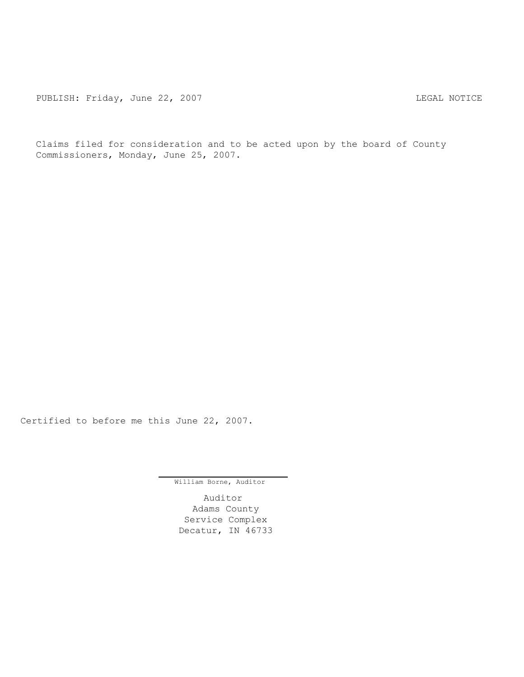PUBLISH: Friday, June 22, 2007 CHA CHANGE AND THE REGAL NOTICE

Claims filed for consideration and to be acted upon by the board of County Commissioners, Monday, June 25, 2007.

Certified to before me this June 22, 2007.

William Borne, Auditor

Auditor Adams County Service Complex Decatur, IN 46733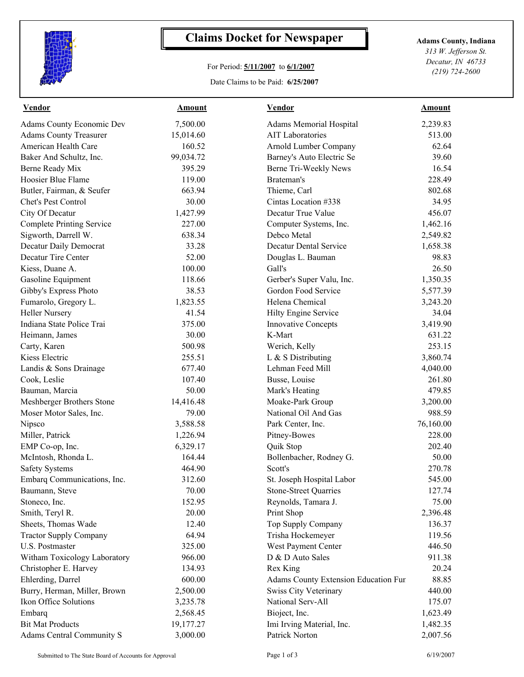

## **Claims Docket for Newspaper Adams County, Indiana**

## For Period: **5/11/2007** to **6/1/2007**

Date Claims to be Paid: **6/25/2007**

*313 W. Jefferson St. Decatur, IN 46733 (219) 724-2600*

| 7,500.00<br><b>Adams Memorial Hospital</b><br>2,239.83<br><b>AIT Laboratories</b><br>15,014.60<br>513.00<br>62.64<br>160.52<br>Arnold Lumber Company<br>99,034.72<br>Barney's Auto Electric Se<br>39.60<br>16.54<br>395.29<br>Berne Tri-Weekly News<br>Brateman's<br>228.49<br>119.00<br>663.94<br>Thieme, Carl<br>802.68<br>30.00<br>34.95<br>Cintas Location #338<br>456.07<br>1,427.99<br>Decatur True Value<br>227.00<br>Computer Systems, Inc.<br>1,462.16<br>638.34<br>Debco Metal<br>2,549.82<br><b>Decatur Dental Service</b><br>33.28<br>1,658.38<br>52.00<br>98.83<br>Douglas L. Bauman<br>100.00<br>Gall's<br>26.50<br>118.66<br>Gerber's Super Valu, Inc.<br>1,350.35<br>Gibby's Express Photo<br>Gordon Food Service<br>38.53<br>5,577.39<br>Helena Chemical<br>Fumarolo, Gregory L.<br>1,823.55<br>3,243.20<br>41.54<br>34.04<br><b>Heller Nursery</b><br>Hilty Engine Service<br>375.00<br>Indiana State Police Trai<br><b>Innovative Concepts</b><br>3,419.90<br>30.00<br>K-Mart<br>631.22<br>Heimann, James<br>253.15<br>Carty, Karen<br>500.98<br>Werich, Kelly<br>Kiess Electric<br>255.51<br>L & S Distributing<br>3,860.74<br>Lehman Feed Mill<br>Landis & Sons Drainage<br>677.40<br>4,040.00<br>Cook, Leslie<br>107.40<br>Busse, Louise<br>261.80<br>50.00<br>Bauman, Marcia<br>Mark's Heating<br>479.85<br>Meshberger Brothers Stone<br>14,416.48<br>Moake-Park Group<br>3,200.00<br>Moser Motor Sales, Inc.<br>79.00<br>National Oil And Gas<br>988.59<br>Nipsco<br>3,588.58<br>Park Center, Inc.<br>76,160.00<br>Miller, Patrick<br>Pitney-Bowes<br>228.00<br>1,226.94<br>EMP Co-op, Inc.<br>6,329.17<br>Quik Stop<br>202.40<br>164.44<br>McIntosh, Rhonda L.<br>Bollenbacher, Rodney G.<br>50.00<br>270.78<br><b>Safety Systems</b><br>464.90<br>Scott's<br>312.60<br>545.00<br>Embarq Communications, Inc.<br>St. Joseph Hospital Labor<br>70.00<br>127.74<br>Baumann, Steve<br><b>Stone-Street Quarries</b><br>75.00<br>Stoneco, Inc.<br>152.95<br>Reynolds, Tamara J.<br>Smith, Teryl R.<br>20.00<br>Print Shop<br>2,396.48<br>Sheets, Thomas Wade<br>12.40<br>Top Supply Company<br>136.37<br><b>Tractor Supply Company</b><br>64.94<br>Trisha Hockemeyer<br>119.56<br>U.S. Postmaster<br>325.00<br>West Payment Center<br>446.50<br>Witham Toxicology Laboratory<br>966.00<br>D & D Auto Sales<br>911.38<br>20.24<br>Christopher E. Harvey<br>134.93<br>Rex King<br>Ehlerding, Darrel<br>600.00<br>Adams County Extension Education Fur<br>88.85<br>Burry, Herman, Miller, Brown<br><b>Swiss City Veterinary</b><br>440.00<br>2,500.00<br>Ikon Office Solutions<br>National Serv-All<br>175.07<br>3,235.78<br>Bioject, Inc.<br>1,623.49<br>Embarq<br>2,568.45<br><b>Bit Mat Products</b><br>Imi Irving Material, Inc.<br>19,177.27<br>1,482.35 | <b>Vendor</b>                    | <b>Amount</b> | <b>Vendor</b>  | <b>Amount</b> |  |
|--------------------------------------------------------------------------------------------------------------------------------------------------------------------------------------------------------------------------------------------------------------------------------------------------------------------------------------------------------------------------------------------------------------------------------------------------------------------------------------------------------------------------------------------------------------------------------------------------------------------------------------------------------------------------------------------------------------------------------------------------------------------------------------------------------------------------------------------------------------------------------------------------------------------------------------------------------------------------------------------------------------------------------------------------------------------------------------------------------------------------------------------------------------------------------------------------------------------------------------------------------------------------------------------------------------------------------------------------------------------------------------------------------------------------------------------------------------------------------------------------------------------------------------------------------------------------------------------------------------------------------------------------------------------------------------------------------------------------------------------------------------------------------------------------------------------------------------------------------------------------------------------------------------------------------------------------------------------------------------------------------------------------------------------------------------------------------------------------------------------------------------------------------------------------------------------------------------------------------------------------------------------------------------------------------------------------------------------------------------------------------------------------------------------------------------------------------------------------------------------------------------------------------------------------------------------------------------------------------------------------------------------------------------------------------------------------------------------------------------------------------------------------------|----------------------------------|---------------|----------------|---------------|--|
|                                                                                                                                                                                                                                                                                                                                                                                                                                                                                                                                                                                                                                                                                                                                                                                                                                                                                                                                                                                                                                                                                                                                                                                                                                                                                                                                                                                                                                                                                                                                                                                                                                                                                                                                                                                                                                                                                                                                                                                                                                                                                                                                                                                                                                                                                                                                                                                                                                                                                                                                                                                                                                                                                                                                                                                | Adams County Economic Dev        |               |                |               |  |
|                                                                                                                                                                                                                                                                                                                                                                                                                                                                                                                                                                                                                                                                                                                                                                                                                                                                                                                                                                                                                                                                                                                                                                                                                                                                                                                                                                                                                                                                                                                                                                                                                                                                                                                                                                                                                                                                                                                                                                                                                                                                                                                                                                                                                                                                                                                                                                                                                                                                                                                                                                                                                                                                                                                                                                                | <b>Adams County Treasurer</b>    |               |                |               |  |
|                                                                                                                                                                                                                                                                                                                                                                                                                                                                                                                                                                                                                                                                                                                                                                                                                                                                                                                                                                                                                                                                                                                                                                                                                                                                                                                                                                                                                                                                                                                                                                                                                                                                                                                                                                                                                                                                                                                                                                                                                                                                                                                                                                                                                                                                                                                                                                                                                                                                                                                                                                                                                                                                                                                                                                                | American Health Care             |               |                |               |  |
|                                                                                                                                                                                                                                                                                                                                                                                                                                                                                                                                                                                                                                                                                                                                                                                                                                                                                                                                                                                                                                                                                                                                                                                                                                                                                                                                                                                                                                                                                                                                                                                                                                                                                                                                                                                                                                                                                                                                                                                                                                                                                                                                                                                                                                                                                                                                                                                                                                                                                                                                                                                                                                                                                                                                                                                | Baker And Schultz, Inc.          |               |                |               |  |
|                                                                                                                                                                                                                                                                                                                                                                                                                                                                                                                                                                                                                                                                                                                                                                                                                                                                                                                                                                                                                                                                                                                                                                                                                                                                                                                                                                                                                                                                                                                                                                                                                                                                                                                                                                                                                                                                                                                                                                                                                                                                                                                                                                                                                                                                                                                                                                                                                                                                                                                                                                                                                                                                                                                                                                                | Berne Ready Mix                  |               |                |               |  |
|                                                                                                                                                                                                                                                                                                                                                                                                                                                                                                                                                                                                                                                                                                                                                                                                                                                                                                                                                                                                                                                                                                                                                                                                                                                                                                                                                                                                                                                                                                                                                                                                                                                                                                                                                                                                                                                                                                                                                                                                                                                                                                                                                                                                                                                                                                                                                                                                                                                                                                                                                                                                                                                                                                                                                                                | Hoosier Blue Flame               |               |                |               |  |
|                                                                                                                                                                                                                                                                                                                                                                                                                                                                                                                                                                                                                                                                                                                                                                                                                                                                                                                                                                                                                                                                                                                                                                                                                                                                                                                                                                                                                                                                                                                                                                                                                                                                                                                                                                                                                                                                                                                                                                                                                                                                                                                                                                                                                                                                                                                                                                                                                                                                                                                                                                                                                                                                                                                                                                                | Butler, Fairman, & Seufer        |               |                |               |  |
|                                                                                                                                                                                                                                                                                                                                                                                                                                                                                                                                                                                                                                                                                                                                                                                                                                                                                                                                                                                                                                                                                                                                                                                                                                                                                                                                                                                                                                                                                                                                                                                                                                                                                                                                                                                                                                                                                                                                                                                                                                                                                                                                                                                                                                                                                                                                                                                                                                                                                                                                                                                                                                                                                                                                                                                | Chet's Pest Control              |               |                |               |  |
|                                                                                                                                                                                                                                                                                                                                                                                                                                                                                                                                                                                                                                                                                                                                                                                                                                                                                                                                                                                                                                                                                                                                                                                                                                                                                                                                                                                                                                                                                                                                                                                                                                                                                                                                                                                                                                                                                                                                                                                                                                                                                                                                                                                                                                                                                                                                                                                                                                                                                                                                                                                                                                                                                                                                                                                | City Of Decatur                  |               |                |               |  |
|                                                                                                                                                                                                                                                                                                                                                                                                                                                                                                                                                                                                                                                                                                                                                                                                                                                                                                                                                                                                                                                                                                                                                                                                                                                                                                                                                                                                                                                                                                                                                                                                                                                                                                                                                                                                                                                                                                                                                                                                                                                                                                                                                                                                                                                                                                                                                                                                                                                                                                                                                                                                                                                                                                                                                                                | <b>Complete Printing Service</b> |               |                |               |  |
|                                                                                                                                                                                                                                                                                                                                                                                                                                                                                                                                                                                                                                                                                                                                                                                                                                                                                                                                                                                                                                                                                                                                                                                                                                                                                                                                                                                                                                                                                                                                                                                                                                                                                                                                                                                                                                                                                                                                                                                                                                                                                                                                                                                                                                                                                                                                                                                                                                                                                                                                                                                                                                                                                                                                                                                | Sigworth, Darrell W.             |               |                |               |  |
|                                                                                                                                                                                                                                                                                                                                                                                                                                                                                                                                                                                                                                                                                                                                                                                                                                                                                                                                                                                                                                                                                                                                                                                                                                                                                                                                                                                                                                                                                                                                                                                                                                                                                                                                                                                                                                                                                                                                                                                                                                                                                                                                                                                                                                                                                                                                                                                                                                                                                                                                                                                                                                                                                                                                                                                | Decatur Daily Democrat           |               |                |               |  |
|                                                                                                                                                                                                                                                                                                                                                                                                                                                                                                                                                                                                                                                                                                                                                                                                                                                                                                                                                                                                                                                                                                                                                                                                                                                                                                                                                                                                                                                                                                                                                                                                                                                                                                                                                                                                                                                                                                                                                                                                                                                                                                                                                                                                                                                                                                                                                                                                                                                                                                                                                                                                                                                                                                                                                                                | Decatur Tire Center              |               |                |               |  |
|                                                                                                                                                                                                                                                                                                                                                                                                                                                                                                                                                                                                                                                                                                                                                                                                                                                                                                                                                                                                                                                                                                                                                                                                                                                                                                                                                                                                                                                                                                                                                                                                                                                                                                                                                                                                                                                                                                                                                                                                                                                                                                                                                                                                                                                                                                                                                                                                                                                                                                                                                                                                                                                                                                                                                                                | Kiess, Duane A.                  |               |                |               |  |
|                                                                                                                                                                                                                                                                                                                                                                                                                                                                                                                                                                                                                                                                                                                                                                                                                                                                                                                                                                                                                                                                                                                                                                                                                                                                                                                                                                                                                                                                                                                                                                                                                                                                                                                                                                                                                                                                                                                                                                                                                                                                                                                                                                                                                                                                                                                                                                                                                                                                                                                                                                                                                                                                                                                                                                                | Gasoline Equipment               |               |                |               |  |
|                                                                                                                                                                                                                                                                                                                                                                                                                                                                                                                                                                                                                                                                                                                                                                                                                                                                                                                                                                                                                                                                                                                                                                                                                                                                                                                                                                                                                                                                                                                                                                                                                                                                                                                                                                                                                                                                                                                                                                                                                                                                                                                                                                                                                                                                                                                                                                                                                                                                                                                                                                                                                                                                                                                                                                                |                                  |               |                |               |  |
|                                                                                                                                                                                                                                                                                                                                                                                                                                                                                                                                                                                                                                                                                                                                                                                                                                                                                                                                                                                                                                                                                                                                                                                                                                                                                                                                                                                                                                                                                                                                                                                                                                                                                                                                                                                                                                                                                                                                                                                                                                                                                                                                                                                                                                                                                                                                                                                                                                                                                                                                                                                                                                                                                                                                                                                |                                  |               |                |               |  |
|                                                                                                                                                                                                                                                                                                                                                                                                                                                                                                                                                                                                                                                                                                                                                                                                                                                                                                                                                                                                                                                                                                                                                                                                                                                                                                                                                                                                                                                                                                                                                                                                                                                                                                                                                                                                                                                                                                                                                                                                                                                                                                                                                                                                                                                                                                                                                                                                                                                                                                                                                                                                                                                                                                                                                                                |                                  |               |                |               |  |
|                                                                                                                                                                                                                                                                                                                                                                                                                                                                                                                                                                                                                                                                                                                                                                                                                                                                                                                                                                                                                                                                                                                                                                                                                                                                                                                                                                                                                                                                                                                                                                                                                                                                                                                                                                                                                                                                                                                                                                                                                                                                                                                                                                                                                                                                                                                                                                                                                                                                                                                                                                                                                                                                                                                                                                                |                                  |               |                |               |  |
|                                                                                                                                                                                                                                                                                                                                                                                                                                                                                                                                                                                                                                                                                                                                                                                                                                                                                                                                                                                                                                                                                                                                                                                                                                                                                                                                                                                                                                                                                                                                                                                                                                                                                                                                                                                                                                                                                                                                                                                                                                                                                                                                                                                                                                                                                                                                                                                                                                                                                                                                                                                                                                                                                                                                                                                |                                  |               |                |               |  |
|                                                                                                                                                                                                                                                                                                                                                                                                                                                                                                                                                                                                                                                                                                                                                                                                                                                                                                                                                                                                                                                                                                                                                                                                                                                                                                                                                                                                                                                                                                                                                                                                                                                                                                                                                                                                                                                                                                                                                                                                                                                                                                                                                                                                                                                                                                                                                                                                                                                                                                                                                                                                                                                                                                                                                                                |                                  |               |                |               |  |
|                                                                                                                                                                                                                                                                                                                                                                                                                                                                                                                                                                                                                                                                                                                                                                                                                                                                                                                                                                                                                                                                                                                                                                                                                                                                                                                                                                                                                                                                                                                                                                                                                                                                                                                                                                                                                                                                                                                                                                                                                                                                                                                                                                                                                                                                                                                                                                                                                                                                                                                                                                                                                                                                                                                                                                                |                                  |               |                |               |  |
|                                                                                                                                                                                                                                                                                                                                                                                                                                                                                                                                                                                                                                                                                                                                                                                                                                                                                                                                                                                                                                                                                                                                                                                                                                                                                                                                                                                                                                                                                                                                                                                                                                                                                                                                                                                                                                                                                                                                                                                                                                                                                                                                                                                                                                                                                                                                                                                                                                                                                                                                                                                                                                                                                                                                                                                |                                  |               |                |               |  |
|                                                                                                                                                                                                                                                                                                                                                                                                                                                                                                                                                                                                                                                                                                                                                                                                                                                                                                                                                                                                                                                                                                                                                                                                                                                                                                                                                                                                                                                                                                                                                                                                                                                                                                                                                                                                                                                                                                                                                                                                                                                                                                                                                                                                                                                                                                                                                                                                                                                                                                                                                                                                                                                                                                                                                                                |                                  |               |                |               |  |
|                                                                                                                                                                                                                                                                                                                                                                                                                                                                                                                                                                                                                                                                                                                                                                                                                                                                                                                                                                                                                                                                                                                                                                                                                                                                                                                                                                                                                                                                                                                                                                                                                                                                                                                                                                                                                                                                                                                                                                                                                                                                                                                                                                                                                                                                                                                                                                                                                                                                                                                                                                                                                                                                                                                                                                                |                                  |               |                |               |  |
|                                                                                                                                                                                                                                                                                                                                                                                                                                                                                                                                                                                                                                                                                                                                                                                                                                                                                                                                                                                                                                                                                                                                                                                                                                                                                                                                                                                                                                                                                                                                                                                                                                                                                                                                                                                                                                                                                                                                                                                                                                                                                                                                                                                                                                                                                                                                                                                                                                                                                                                                                                                                                                                                                                                                                                                |                                  |               |                |               |  |
|                                                                                                                                                                                                                                                                                                                                                                                                                                                                                                                                                                                                                                                                                                                                                                                                                                                                                                                                                                                                                                                                                                                                                                                                                                                                                                                                                                                                                                                                                                                                                                                                                                                                                                                                                                                                                                                                                                                                                                                                                                                                                                                                                                                                                                                                                                                                                                                                                                                                                                                                                                                                                                                                                                                                                                                |                                  |               |                |               |  |
|                                                                                                                                                                                                                                                                                                                                                                                                                                                                                                                                                                                                                                                                                                                                                                                                                                                                                                                                                                                                                                                                                                                                                                                                                                                                                                                                                                                                                                                                                                                                                                                                                                                                                                                                                                                                                                                                                                                                                                                                                                                                                                                                                                                                                                                                                                                                                                                                                                                                                                                                                                                                                                                                                                                                                                                |                                  |               |                |               |  |
|                                                                                                                                                                                                                                                                                                                                                                                                                                                                                                                                                                                                                                                                                                                                                                                                                                                                                                                                                                                                                                                                                                                                                                                                                                                                                                                                                                                                                                                                                                                                                                                                                                                                                                                                                                                                                                                                                                                                                                                                                                                                                                                                                                                                                                                                                                                                                                                                                                                                                                                                                                                                                                                                                                                                                                                |                                  |               |                |               |  |
|                                                                                                                                                                                                                                                                                                                                                                                                                                                                                                                                                                                                                                                                                                                                                                                                                                                                                                                                                                                                                                                                                                                                                                                                                                                                                                                                                                                                                                                                                                                                                                                                                                                                                                                                                                                                                                                                                                                                                                                                                                                                                                                                                                                                                                                                                                                                                                                                                                                                                                                                                                                                                                                                                                                                                                                |                                  |               |                |               |  |
|                                                                                                                                                                                                                                                                                                                                                                                                                                                                                                                                                                                                                                                                                                                                                                                                                                                                                                                                                                                                                                                                                                                                                                                                                                                                                                                                                                                                                                                                                                                                                                                                                                                                                                                                                                                                                                                                                                                                                                                                                                                                                                                                                                                                                                                                                                                                                                                                                                                                                                                                                                                                                                                                                                                                                                                |                                  |               |                |               |  |
|                                                                                                                                                                                                                                                                                                                                                                                                                                                                                                                                                                                                                                                                                                                                                                                                                                                                                                                                                                                                                                                                                                                                                                                                                                                                                                                                                                                                                                                                                                                                                                                                                                                                                                                                                                                                                                                                                                                                                                                                                                                                                                                                                                                                                                                                                                                                                                                                                                                                                                                                                                                                                                                                                                                                                                                |                                  |               |                |               |  |
|                                                                                                                                                                                                                                                                                                                                                                                                                                                                                                                                                                                                                                                                                                                                                                                                                                                                                                                                                                                                                                                                                                                                                                                                                                                                                                                                                                                                                                                                                                                                                                                                                                                                                                                                                                                                                                                                                                                                                                                                                                                                                                                                                                                                                                                                                                                                                                                                                                                                                                                                                                                                                                                                                                                                                                                |                                  |               |                |               |  |
|                                                                                                                                                                                                                                                                                                                                                                                                                                                                                                                                                                                                                                                                                                                                                                                                                                                                                                                                                                                                                                                                                                                                                                                                                                                                                                                                                                                                                                                                                                                                                                                                                                                                                                                                                                                                                                                                                                                                                                                                                                                                                                                                                                                                                                                                                                                                                                                                                                                                                                                                                                                                                                                                                                                                                                                |                                  |               |                |               |  |
|                                                                                                                                                                                                                                                                                                                                                                                                                                                                                                                                                                                                                                                                                                                                                                                                                                                                                                                                                                                                                                                                                                                                                                                                                                                                                                                                                                                                                                                                                                                                                                                                                                                                                                                                                                                                                                                                                                                                                                                                                                                                                                                                                                                                                                                                                                                                                                                                                                                                                                                                                                                                                                                                                                                                                                                |                                  |               |                |               |  |
|                                                                                                                                                                                                                                                                                                                                                                                                                                                                                                                                                                                                                                                                                                                                                                                                                                                                                                                                                                                                                                                                                                                                                                                                                                                                                                                                                                                                                                                                                                                                                                                                                                                                                                                                                                                                                                                                                                                                                                                                                                                                                                                                                                                                                                                                                                                                                                                                                                                                                                                                                                                                                                                                                                                                                                                |                                  |               |                |               |  |
|                                                                                                                                                                                                                                                                                                                                                                                                                                                                                                                                                                                                                                                                                                                                                                                                                                                                                                                                                                                                                                                                                                                                                                                                                                                                                                                                                                                                                                                                                                                                                                                                                                                                                                                                                                                                                                                                                                                                                                                                                                                                                                                                                                                                                                                                                                                                                                                                                                                                                                                                                                                                                                                                                                                                                                                |                                  |               |                |               |  |
|                                                                                                                                                                                                                                                                                                                                                                                                                                                                                                                                                                                                                                                                                                                                                                                                                                                                                                                                                                                                                                                                                                                                                                                                                                                                                                                                                                                                                                                                                                                                                                                                                                                                                                                                                                                                                                                                                                                                                                                                                                                                                                                                                                                                                                                                                                                                                                                                                                                                                                                                                                                                                                                                                                                                                                                |                                  |               |                |               |  |
|                                                                                                                                                                                                                                                                                                                                                                                                                                                                                                                                                                                                                                                                                                                                                                                                                                                                                                                                                                                                                                                                                                                                                                                                                                                                                                                                                                                                                                                                                                                                                                                                                                                                                                                                                                                                                                                                                                                                                                                                                                                                                                                                                                                                                                                                                                                                                                                                                                                                                                                                                                                                                                                                                                                                                                                |                                  |               |                |               |  |
|                                                                                                                                                                                                                                                                                                                                                                                                                                                                                                                                                                                                                                                                                                                                                                                                                                                                                                                                                                                                                                                                                                                                                                                                                                                                                                                                                                                                                                                                                                                                                                                                                                                                                                                                                                                                                                                                                                                                                                                                                                                                                                                                                                                                                                                                                                                                                                                                                                                                                                                                                                                                                                                                                                                                                                                |                                  |               |                |               |  |
|                                                                                                                                                                                                                                                                                                                                                                                                                                                                                                                                                                                                                                                                                                                                                                                                                                                                                                                                                                                                                                                                                                                                                                                                                                                                                                                                                                                                                                                                                                                                                                                                                                                                                                                                                                                                                                                                                                                                                                                                                                                                                                                                                                                                                                                                                                                                                                                                                                                                                                                                                                                                                                                                                                                                                                                |                                  |               |                |               |  |
|                                                                                                                                                                                                                                                                                                                                                                                                                                                                                                                                                                                                                                                                                                                                                                                                                                                                                                                                                                                                                                                                                                                                                                                                                                                                                                                                                                                                                                                                                                                                                                                                                                                                                                                                                                                                                                                                                                                                                                                                                                                                                                                                                                                                                                                                                                                                                                                                                                                                                                                                                                                                                                                                                                                                                                                |                                  |               |                |               |  |
|                                                                                                                                                                                                                                                                                                                                                                                                                                                                                                                                                                                                                                                                                                                                                                                                                                                                                                                                                                                                                                                                                                                                                                                                                                                                                                                                                                                                                                                                                                                                                                                                                                                                                                                                                                                                                                                                                                                                                                                                                                                                                                                                                                                                                                                                                                                                                                                                                                                                                                                                                                                                                                                                                                                                                                                |                                  |               |                |               |  |
|                                                                                                                                                                                                                                                                                                                                                                                                                                                                                                                                                                                                                                                                                                                                                                                                                                                                                                                                                                                                                                                                                                                                                                                                                                                                                                                                                                                                                                                                                                                                                                                                                                                                                                                                                                                                                                                                                                                                                                                                                                                                                                                                                                                                                                                                                                                                                                                                                                                                                                                                                                                                                                                                                                                                                                                |                                  |               |                |               |  |
|                                                                                                                                                                                                                                                                                                                                                                                                                                                                                                                                                                                                                                                                                                                                                                                                                                                                                                                                                                                                                                                                                                                                                                                                                                                                                                                                                                                                                                                                                                                                                                                                                                                                                                                                                                                                                                                                                                                                                                                                                                                                                                                                                                                                                                                                                                                                                                                                                                                                                                                                                                                                                                                                                                                                                                                |                                  |               |                |               |  |
|                                                                                                                                                                                                                                                                                                                                                                                                                                                                                                                                                                                                                                                                                                                                                                                                                                                                                                                                                                                                                                                                                                                                                                                                                                                                                                                                                                                                                                                                                                                                                                                                                                                                                                                                                                                                                                                                                                                                                                                                                                                                                                                                                                                                                                                                                                                                                                                                                                                                                                                                                                                                                                                                                                                                                                                |                                  |               |                |               |  |
|                                                                                                                                                                                                                                                                                                                                                                                                                                                                                                                                                                                                                                                                                                                                                                                                                                                                                                                                                                                                                                                                                                                                                                                                                                                                                                                                                                                                                                                                                                                                                                                                                                                                                                                                                                                                                                                                                                                                                                                                                                                                                                                                                                                                                                                                                                                                                                                                                                                                                                                                                                                                                                                                                                                                                                                | Adams Central Community S        | 3,000.00      | Patrick Norton | 2,007.56      |  |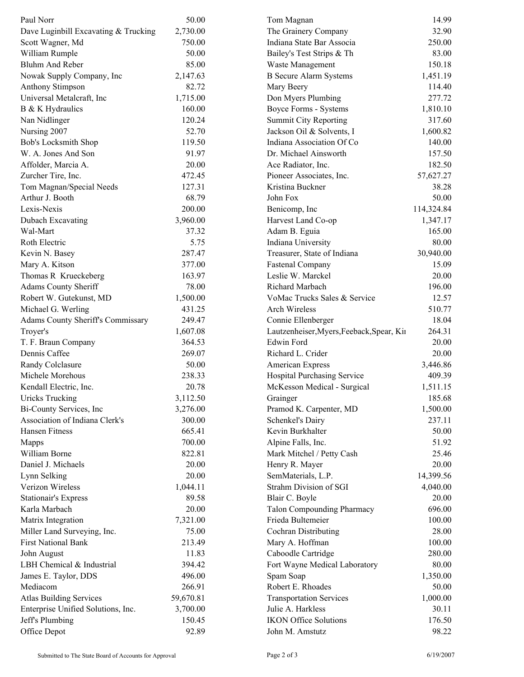| Paul Norr                            | 50.00     | Tom Magnan                                | 14.99      |  |
|--------------------------------------|-----------|-------------------------------------------|------------|--|
| Dave Luginbill Excavating & Trucking | 2,730.00  | The Grainery Company                      | 32.90      |  |
| Scott Wagner, Md                     | 750.00    | Indiana State Bar Associa                 | 250.00     |  |
| William Rumple                       | 50.00     | Bailey's Test Strips & Th                 | 83.00      |  |
| <b>Bluhm And Reber</b>               | 85.00     | Waste Management                          | 150.18     |  |
| Nowak Supply Company, Inc            | 2,147.63  | <b>B</b> Secure Alarm Systems             | 1,451.19   |  |
| <b>Anthony Stimpson</b>              | 82.72     | Mary Beery                                | 114.40     |  |
| Universal Metalcraft, Inc            | 1,715.00  | Don Myers Plumbing                        | 277.72     |  |
| B & K Hydraulics                     | 160.00    | Boyce Forms - Systems                     | 1,810.10   |  |
| Nan Nidlinger                        | 120.24    | <b>Summit City Reporting</b>              | 317.60     |  |
| Nursing 2007                         | 52.70     | Jackson Oil & Solvents, I                 | 1,600.82   |  |
| <b>Bob's Locksmith Shop</b>          | 119.50    | Indiana Association Of Co                 | 140.00     |  |
| W. A. Jones And Son                  | 91.97     | Dr. Michael Ainsworth                     | 157.50     |  |
| Affolder, Marcia A.                  | 20.00     | Ace Radiator, Inc.                        | 182.50     |  |
| Zurcher Tire, Inc.                   | 472.45    | Pioneer Associates, Inc.                  | 57,627.27  |  |
| Tom Magnan/Special Needs             | 127.31    | Kristina Buckner                          | 38.28      |  |
| Arthur J. Booth                      | 68.79     | John Fox                                  | 50.00      |  |
| Lexis-Nexis                          | 200.00    | Benicomp, Inc                             | 114,324.84 |  |
| Dubach Excavating                    | 3,960.00  | Harvest Land Co-op                        | 1,347.17   |  |
| Wal-Mart                             | 37.32     | Adam B. Eguia                             | 165.00     |  |
| Roth Electric                        | 5.75      | Indiana University                        | 80.00      |  |
| Kevin N. Basey                       | 287.47    | Treasurer, State of Indiana               | 30,940.00  |  |
| Mary A. Kitson                       | 377.00    | <b>Fastenal Company</b>                   | 15.09      |  |
| Thomas R Krueckeberg                 | 163.97    | Leslie W. Marckel                         | 20.00      |  |
| <b>Adams County Sheriff</b>          | 78.00     | Richard Marbach                           | 196.00     |  |
| Robert W. Gutekunst, MD              | 1,500.00  | VoMac Trucks Sales & Service              | 12.57      |  |
| Michael G. Werling                   | 431.25    | Arch Wireless                             | 510.77     |  |
| Adams County Sheriff's Commissary    | 249.47    | Connie Ellenberger                        | 18.04      |  |
| Troyer's                             | 1,607.08  | Lautzenheiser, Myers, Feeback, Spear, Kii | 264.31     |  |
| T. F. Braun Company                  | 364.53    | Edwin Ford                                | 20.00      |  |
| Dennis Caffee                        | 269.07    | Richard L. Crider                         | 20.00      |  |
| Randy Colclasure                     | 50.00     | American Express                          | 3,446.86   |  |
| Michele Morehous                     | 238.33    | Hospital Purchasing Service               | 409.39     |  |
| Kendall Electric, Inc.               | 20.78     | McKesson Medical - Surgical               | 1,511.15   |  |
| Uricks Trucking                      | 3,112.50  | Grainger                                  | 185.68     |  |
| Bi-County Services, Inc.             | 3,276.00  | Pramod K. Carpenter, MD                   | 1,500.00   |  |
| Association of Indiana Clerk's       | 300.00    | Schenkel's Dairy                          | 237.11     |  |
| Hansen Fitness                       | 665.41    | Kevin Burkhalter                          | 50.00      |  |
| Mapps                                | 700.00    | Alpine Falls, Inc.                        | 51.92      |  |
| William Borne                        | 822.81    | Mark Mitchel / Petty Cash                 | 25.46      |  |
| Daniel J. Michaels                   | 20.00     | Henry R. Mayer                            | 20.00      |  |
| Lynn Selking                         | 20.00     | SemMaterials, L.P.                        | 14,399.56  |  |
| Verizon Wireless                     | 1,044.11  | Strahm Division of SGI                    | 4,040.00   |  |
| <b>Stationair's Express</b>          | 89.58     | Blair C. Boyle                            | 20.00      |  |
| Karla Marbach                        | 20.00     |                                           | 696.00     |  |
|                                      |           | <b>Talon Compounding Pharmacy</b>         |            |  |
| Matrix Integration                   | 7,321.00  | Frieda Bultemeier                         | 100.00     |  |
| Miller Land Surveying, Inc.          | 75.00     | Cochran Distributing                      | 28.00      |  |
| <b>First National Bank</b>           | 213.49    | Mary A. Hoffman                           | 100.00     |  |
| John August                          | 11.83     | Caboodle Cartridge                        | 280.00     |  |
| LBH Chemical & Industrial            | 394.42    | Fort Wayne Medical Laboratory             | 80.00      |  |
| James E. Taylor, DDS                 | 496.00    | Spam Soap                                 | 1,350.00   |  |
| Mediacom                             | 266.91    | Robert E. Rhoades                         | 50.00      |  |
| <b>Atlas Building Services</b>       | 59,670.81 | <b>Transportation Services</b>            | 1,000.00   |  |
| Enterprise Unified Solutions, Inc.   | 3,700.00  | Julie A. Harkless                         | 30.11      |  |
| Jeff's Plumbing                      | 150.45    | <b>IKON Office Solutions</b>              | 176.50     |  |
| Office Depot                         | 92.89     | John M. Amstutz                           | 98.22      |  |